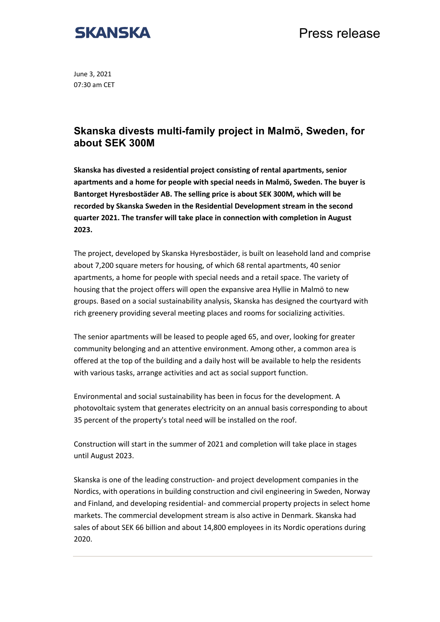

Press release

June 3, 2021 07:30 am CET

## **Skanska divests multi-family project in Malmö, Sweden, for about SEK 300M**

**Skanska has divested a residential project consisting of rental apartments, senior apartments and a home for people with special needs in Malmö, Sweden. The buyer is Bantorget Hyresbostäder AB. The selling price is about SEK 300M, which will be recorded by Skanska Sweden in the Residential Development stream in the second quarter 2021. The transfer will take place in connection with completion in August 2023.**

The project, developed by Skanska Hyresbostäder, is built on leasehold land and comprise about 7,200 square meters for housing, of which 68 rental apartments, 40 senior apartments, a home for people with special needs and a retail space. The variety of housing that the project offers will open the expansive area Hyllie in Malmö to new groups. Based on a social sustainability analysis, Skanska has designed the courtyard with rich greenery providing several meeting places and rooms for socializing activities.

The senior apartments will be leased to people aged 65, and over, looking for greater community belonging and an attentive environment. Among other, a common area is offered at the top of the building and a daily host will be available to help the residents with various tasks, arrange activities and act as social support function.

Environmental and social sustainability has been in focus for the development. A photovoltaic system that generates electricity on an annual basis corresponding to about 35 percent of the property's total need will be installed on the roof.

Construction will start in the summer of 2021 and completion will take place in stages until August 2023.

Skanska is one of the leading construction- and project development companies in the Nordics, with operations in building construction and civil engineering in Sweden, Norway and Finland, and developing residential- and commercial property projects in select home markets. The commercial development stream is also active in Denmark. Skanska had sales of about SEK 66 billion and about 14,800 employees in its Nordic operations during 2020.